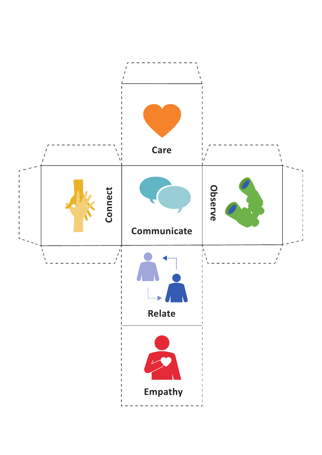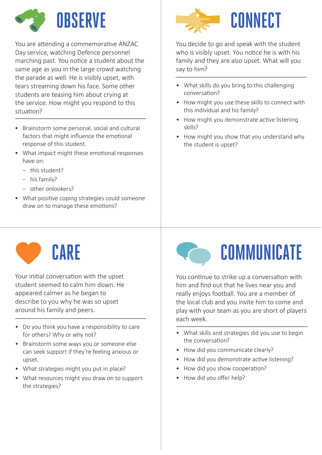

You are attending a commemorative ANZAC Day service, watching Defence personnel marching past. You notice a student about the same age as you in the large crowd watching the parade as well. He is visibly upset, with tears streaming down his face. Some other students are teasing him about crying at the service. How might you respond to this situation?

- Brainstorm some personal, social and cultural factors that might influence the emotional response of this student.
- What impact might these emotional responses have on:
	- − this student?
	- − his family?
	- − other onlookers?
- What positive coping strategies could someone draw on to manage these emotions?



You decide to go and speak with the student who is visibly upset. You notice he is with his family and they are also upset. What will you say to him?

- What skills do you bring to this challenging conversation?
- How might you use these skills to connect with this individual and his family?
- How might you demonstrate active listening skills?
- How might you show that you understand why the student is upset?

## **CARE**

Your initial conversation with the upset student seemed to calm him down. He appeared calmer as he began to describe to you why he was so upset around his family and peers.

- Do you think you have a responsibility to care for others? Why or why not?
- Brainstorm some ways you or someone else can seek support if they're feeling anxious or upset.
- What strategies might you put in place?
- What resources might you draw on to support the strategies?



You continue to strike up a conversation with him and find out that he lives near you and really enjoys football. You are a member of the local club and you invite him to come and play with your team as you are short of players each week.

- What skills and strategies did you use to begin the conversation?
- How did you communicate clearly?
- How did you demonstrate active listening?
- How did you show cooperation?
- How did you offer help?